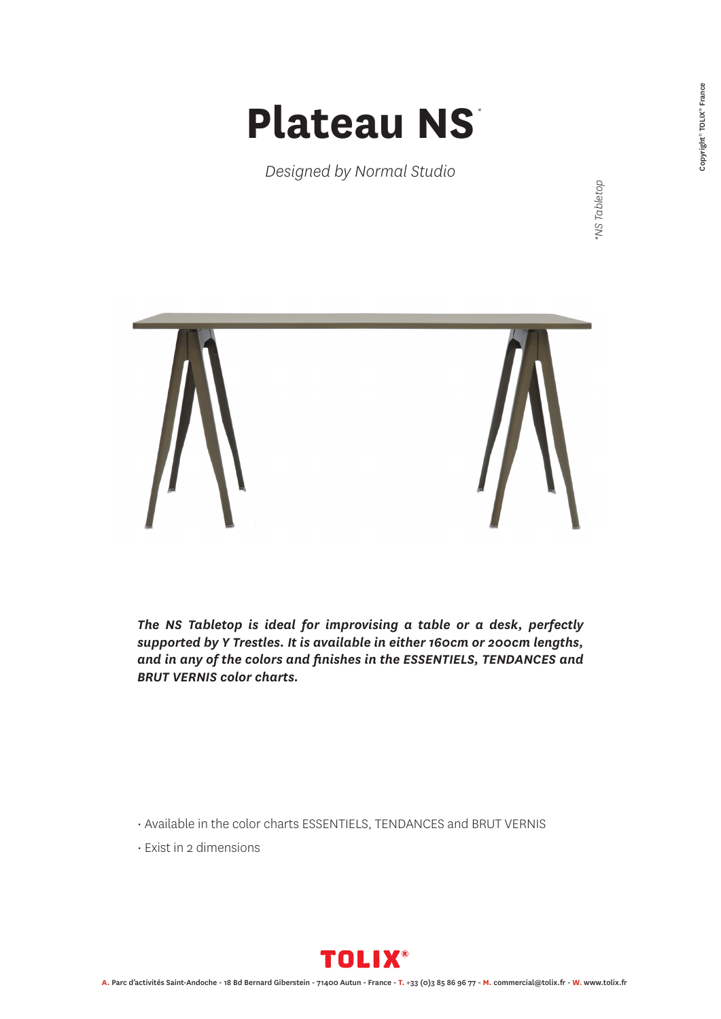## **Plateau NS** *\**

*Designed by Normal Studio*

NS Tabletop *\*NS Tabletop*



*The NS Tabletop is ideal for improvising a table or a desk, perfectly supported by Y Trestles. It is available in either 160cm or 200cm lengths, and in any of the colors and finishes in the ESSENTIELS, TENDANCES and BRUT VERNIS color charts.*

• Available in the color charts ESSENTIELS, TENDANCES and BRUT VERNIS

• Exist in 2 dimensions